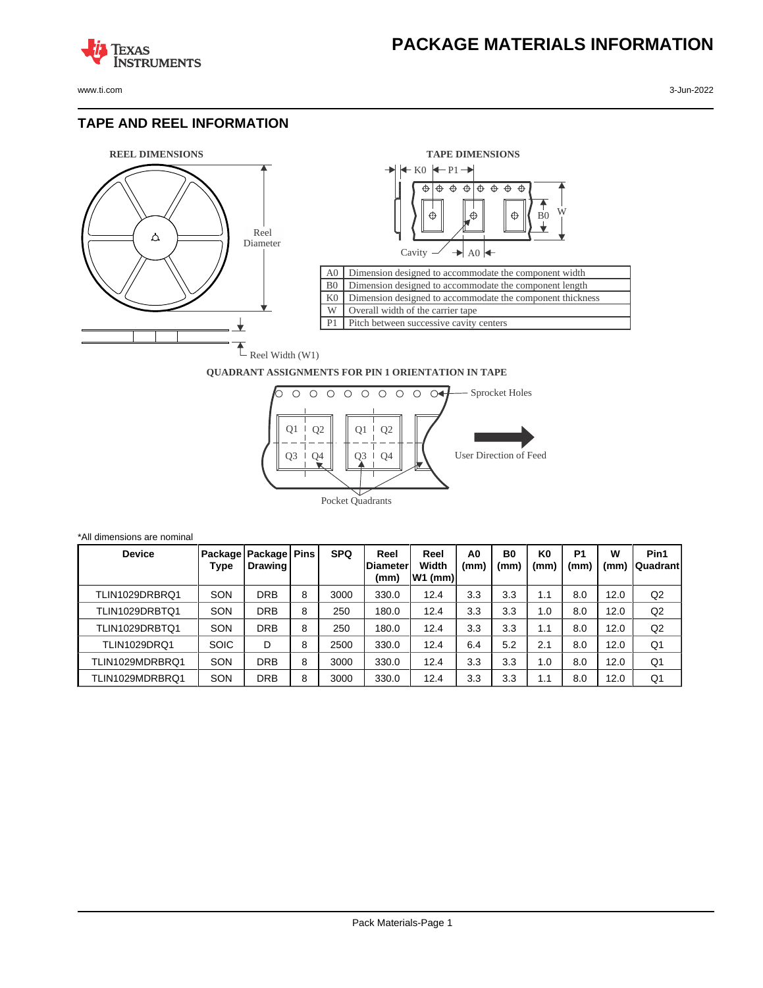www.ti.com 3-Jun-2022

**TEXAS** 

#### **TAPE AND REEL INFORMATION**

**ISTRUMENTS** 





#### **QUADRANT ASSIGNMENTS FOR PIN 1 ORIENTATION IN TAPE**



| <b>Device</b>       | Type        | Package   Package   Pins<br>Drawing I |   | <b>SPQ</b> | Reel<br><b>IDiameter</b><br>(mm) | Reel<br>Width<br>W1 (mm) | A <sub>0</sub><br>(mm) | B0<br>(mm) | K <sub>0</sub><br>(mm` | P <sub>1</sub><br>(mm | w<br>(mm) | Pin1<br><b>Quadrant</b> |
|---------------------|-------------|---------------------------------------|---|------------|----------------------------------|--------------------------|------------------------|------------|------------------------|-----------------------|-----------|-------------------------|
| TLIN1029DRBRQ1      | SON         | DRB                                   | 8 | 3000       | 330.0                            | 12.4                     | 3.3                    | 3.3        | 1.1                    | 8.0                   | 12.0      | Q2                      |
| TLIN1029DRBTQ1      | SON         | <b>DRB</b>                            | 8 | 250        | 180.0                            | 12.4                     | 3.3                    | 3.3        | 1.0                    | 8.0                   | 12.0      | Q2                      |
| TLIN1029DRBTQ1      | SON         | <b>DRB</b>                            | 8 | 250        | 180.0                            | 12.4                     | 3.3                    | 3.3        | 1.1                    | 8.0                   | 12.0      | Q2                      |
| <b>TLIN1029DRQ1</b> | <b>SOIC</b> | D                                     | 8 | 2500       | 330.0                            | 12.4                     | 6.4                    | 5.2        | 2.1                    | 8.0                   | 12.0      | Q1                      |
| TLIN1029MDRBRQ1     | SON         | DRB                                   | 8 | 3000       | 330.0                            | 12.4                     | 3.3                    | 3.3        | 1.0                    | 8.0                   | 12.0      | Q1                      |
| TLIN1029MDRBRQ1     | SON         | <b>DRB</b>                            | 8 | 3000       | 330.0                            | 12.4                     | 3.3                    | 3.3        | 1.1                    | 8.0                   | 12.0      | Q1                      |

\*All dimensions are nominal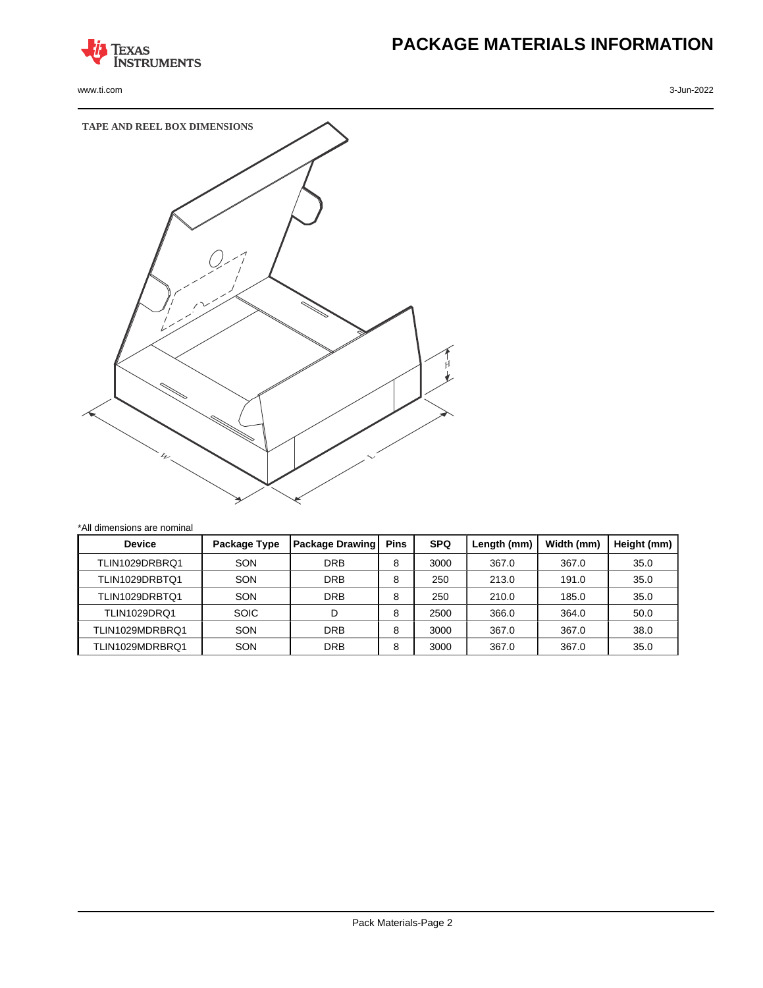

www.ti.com 3-Jun-2022

# **PACKAGE MATERIALS INFORMATION**



| <b>Device</b>       | Package Type | <b>Package Drawing</b> | <b>Pins</b> | <b>SPQ</b> | Length (mm) | Width (mm) | Height (mm) |
|---------------------|--------------|------------------------|-------------|------------|-------------|------------|-------------|
| TLIN1029DRBRQ1      | SON          | <b>DRB</b>             | 8           | 3000       | 367.0       | 367.0      | 35.0        |
| TLIN1029DRBTQ1      | SON          | <b>DRB</b>             | 8           | 250        | 213.0       | 191.0      | 35.0        |
| TLIN1029DRBTQ1      | SON          | <b>DRB</b>             | 8           | 250        | 210.0       | 185.0      | 35.0        |
| <b>TLIN1029DRO1</b> | <b>SOIC</b>  | D                      | 8           | 2500       | 366.0       | 364.0      | 50.0        |
| TLIN1029MDRBRQ1     | SON          | <b>DRB</b>             | 8           | 3000       | 367.0       | 367.0      | 38.0        |
| TLIN1029MDRBRQ1     | SON          | <b>DRB</b>             | 8           | 3000       | 367.0       | 367.0      | 35.0        |